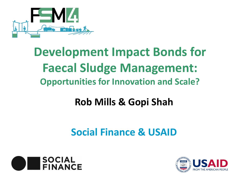

# **Development Impact Bonds for Faecal Sludge Management: Opportunities for Innovation and Scale?**

## **Rob Mills & Gopi Shah**

### **Social Finance & USAID**



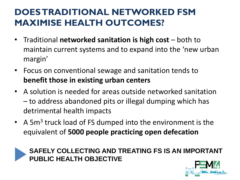### **DOES TRADITIONAL NETWORKED FSM MAXIMISE HEALTH OUTCOMES?**

- Traditional **networked sanitation is high cost**  both to maintain current systems and to expand into the 'new urban margin'
- Focus on conventional sewage and sanitation tends to **benefit those in existing urban centers**
- A solution is needed for areas outside networked sanitation – to address abandoned pits or illegal dumping which has detrimental health impacts
- A 5m<sup>3</sup> truck load of FS dumped into the environment is the equivalent of **5000 people practicing open defecation**



**SAFELY COLLECTING AND TREATING FS IS AN IMPORTANT PUBLIC HEALTH OBJECTIVE**

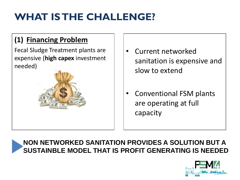## **WHAT IS THE CHALLENGE?**

#### **(1) Financing Problem**

Fecal Sludge Treatment plants are expensive (**high capex** investment needed)



- Current networked sanitation is expensive and slow to extend
- Conventional FSM plants are operating at full capacity

#### **NON NETWORKED SANITATION PROVIDES A SOLUTION BUT A SUSTAINBLE MODEL THAT IS PROFIT GENERATING IS NEEDED**

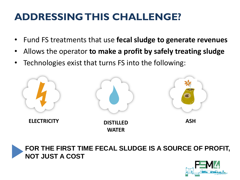### **ADDRESSING THIS CHALLENGE?**

- Fund FS treatments that use **fecal sludge to generate revenues**
- Allows the operator **to make a profit by safely treating sludge**
- Technologies exist that turns FS into the following:





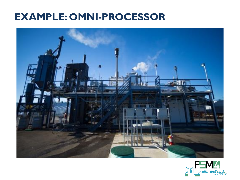### **EXAMPLE: OMNI-PROCESSOR**



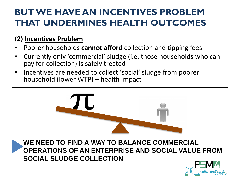### **BUT WE HAVE AN INCENTIVES PROBLEM THAT UNDERMINES HEALTH OUTCOMES**

#### **(2) Incentives Problem**

- Poorer households **cannot afford** collection and tipping fees
- Currently only 'commercial' sludge (i.e. those households who can pay for collection) is safely treated
- Incentives are needed to collect 'social' sludge from poorer household (lower WTP) – health impact



**WE NEED TO FIND A WAY TO BALANCE COMMERCIAL OPERATIONS OF AN ENTERPRISE AND SOCIAL VALUE FROM SOCIAL SLUDGE COLLECTION**

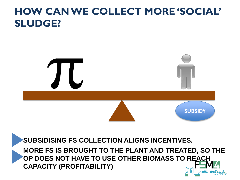### **HOW CAN WE COLLECT MORE 'SOCIAL' SLUDGE?**



**SUBSIDISING FS COLLECTION ALIGNS INCENTIVES.** 

**MORE FS IS BROUGHT TO THE PLANT AND TREATED, SO THE OP DOES NOT HAVE TO USE OTHER BIOMASS TO REACH CAPACITY (PROFITABILITY)**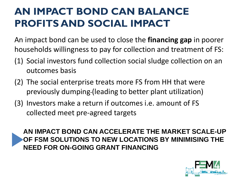### **AN IMPACT BOND CAN BALANCE PROFITS AND SOCIAL IMPACT**

An impact bond can be used to close the **financing gap** in poorer households willingness to pay for collection and treatment of FS:

- (1) Social investors fund collection social sludge collection on an outcomes basis
- (2) The social enterprise treats more FS from HH that were previously dumping (leading to better plant utilization)
- (3) Investors make a return if outcomes i.e. amount of FS collected meet pre-agreed targets

**AN IMPACT BOND CAN ACCELERATE THE MARKET SCALE-UP OF FSM SOLUTIONS TO NEW LOCATIONS BY MINIMISING THE NEED FOR ON-GOING GRANT FINANCING**

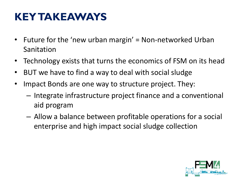## **KEY TAKEAWAYS**

- Future for the 'new urban margin' = Non-networked Urban Sanitation
- Technology exists that turns the economics of FSM on its head
- BUT we have to find a way to deal with social sludge
- Impact Bonds are one way to structure project. They:
	- Integrate infrastructure project finance and a conventional aid program
	- Allow a balance between profitable operations for a social enterprise and high impact social sludge collection